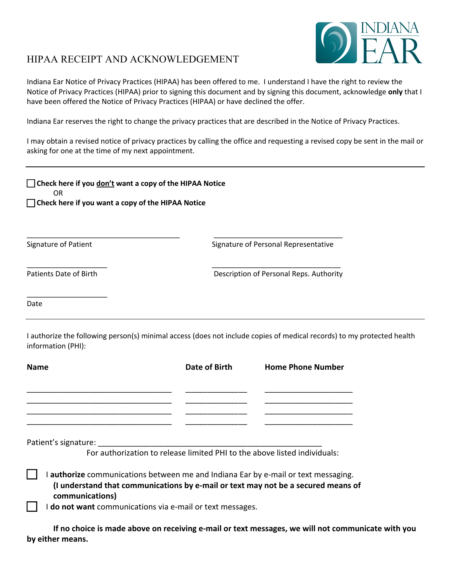

## HIPAA RECEIPT AND ACKNOWLEDGEMENT

\_\_\_\_\_\_\_\_\_\_\_\_\_\_\_\_\_\_\_\_

Date

Indiana Ear Notice of Privacy Practices (HIPAA) has been offered to me. I understand I have the right to review the Notice of Privacy Practices (HIPAA) prior to signing this document and by signing this document, acknowledge **only** that I have been offered the Notice of Privacy Practices (HIPAA) or have declined the offer.

Indiana Ear reserves the right to change the privacy practices that are described in the Notice of Privacy Practices.

I may obtain a revised notice of privacy practices by calling the office and requesting a revised copy be sent in the mail or asking for one at the time of my next appointment.

| <b>Check here if you don't want a copy of the HIPAA Notice</b><br>OR. |                                         |
|-----------------------------------------------------------------------|-----------------------------------------|
| $\Box$ Check here if you want a copy of the HIPAA Notice              |                                         |
| <b>Signature of Patient</b>                                           | Signature of Personal Representative    |
| Patients Date of Birth                                                | Description of Personal Reps. Authority |

I authorize the following person(s) minimal access (does not include copies of medical records) to my protected health information (PHI):

| <b>Name</b>                                                                                                                                                             | Date of Birth | <b>Home Phone Number</b> |
|-------------------------------------------------------------------------------------------------------------------------------------------------------------------------|---------------|--------------------------|
|                                                                                                                                                                         |               |                          |
|                                                                                                                                                                         |               |                          |
| Patient's signature:                                                                                                                                                    |               |                          |
| For authorization to release limited PHI to the above listed individuals:                                                                                               |               |                          |
| I authorize communications between me and Indiana Ear by e-mail or text messaging.<br>(I understand that communications by e-mail or text may not be a secured means of |               |                          |
| communications)<br>I do not want communications via e-mail or text messages.                                                                                            |               |                          |

**If no choice is made above on receiving e-mail or text messages, we will not communicate with you by either means.**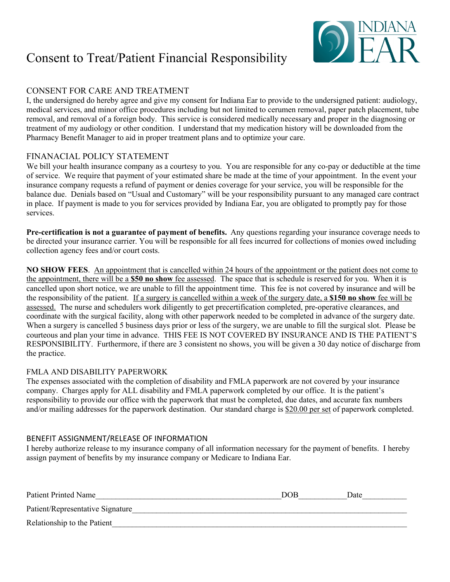# Consent to Treat/Patient Financial Responsibility



### CONSENT FOR CARE AND TREATMENT

I, the undersigned do hereby agree and give my consent for Indiana Ear to provide to the undersigned patient: audiology, medical services, and minor office procedures including but not limited to cerumen removal, paper patch placement, tube removal, and removal of a foreign body. This service is considered medically necessary and proper in the diagnosing or treatment of my audiology or other condition. I understand that my medication history will be downloaded from the Pharmacy Benefit Manager to aid in proper treatment plans and to optimize your care.

### FINANACIAL POLICY STATEMENT

We bill your health insurance company as a courtesy to you. You are responsible for any co-pay or deductible at the time of service. We require that payment of your estimated share be made at the time of your appointment. In the event your insurance company requests a refund of payment or denies coverage for your service, you will be responsible for the balance due. Denials based on "Usual and Customary" will be your responsibility pursuant to any managed care contract in place. If payment is made to you for services provided by Indiana Ear, you are obligated to promptly pay for those services.

**Pre-certification is not a guarantee of payment of benefits.** Any questions regarding your insurance coverage needs to be directed your insurance carrier. You will be responsible for all fees incurred for collections of monies owed including collection agency fees and/or court costs.

**NO SHOW FEES**. An appointment that is cancelled within 24 hours of the appointment or the patient does not come to the appointment, there will be a **\$50 no show** fee assessed. The space that is schedule is reserved for you. When it is cancelled upon short notice, we are unable to fill the appointment time. This fee is not covered by insurance and will be the responsibility of the patient. If a surgery is cancelled within a week of the surgery date, a **\$150 no show** fee will be assessed. The nurse and schedulers work diligently to get precertification completed, pre-operative clearances, and coordinate with the surgical facility, along with other paperwork needed to be completed in advance of the surgery date. When a surgery is cancelled 5 business days prior or less of the surgery, we are unable to fill the surgical slot. Please be courteous and plan your time in advance. THIS FEE IS NOT COVERED BY INSURANCE AND IS THE PATIENT'S RESPONSIBILITY. Furthermore, if there are 3 consistent no shows, you will be given a 30 day notice of discharge from the practice.

### FMLA AND DISABILITY PAPERWORK

The expenses associated with the completion of disability and FMLA paperwork are not covered by your insurance company. Charges apply for ALL disability and FMLA paperwork completed by our office. It is the patient's responsibility to provide our office with the paperwork that must be completed, due dates, and accurate fax numbers and/or mailing addresses for the paperwork destination. Our standard charge is \$20.00 per set of paperwork completed.

### BENEFIT ASSIGNMENT/RELEASE OF INFORMATION

I hereby authorize release to my insurance company of all information necessary for the payment of benefits. I hereby assign payment of benefits by my insurance company or Medicare to Indiana Ear.

| <b>Patient Printed Name</b>      | <b>DOB</b> | Date |
|----------------------------------|------------|------|
| Patient/Representative Signature |            |      |
| Relationship to the Patient      |            |      |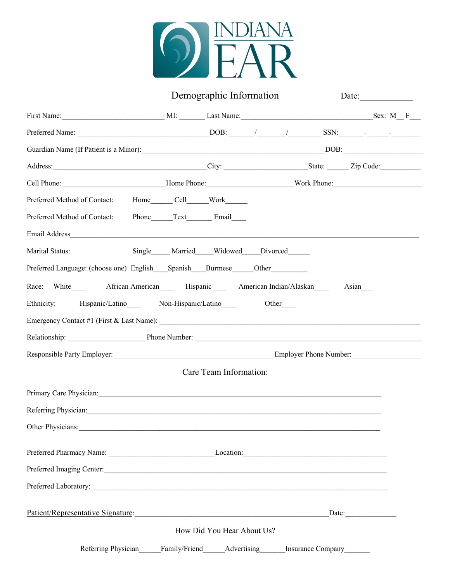

|                                                                                                                                                                                                                                          |                  | Demographic Information    |                                 | Date: |
|------------------------------------------------------------------------------------------------------------------------------------------------------------------------------------------------------------------------------------------|------------------|----------------------------|---------------------------------|-------|
|                                                                                                                                                                                                                                          |                  |                            |                                 |       |
|                                                                                                                                                                                                                                          |                  |                            |                                 |       |
|                                                                                                                                                                                                                                          |                  |                            |                                 |       |
| Address: <u>City:</u> City: State: Zip Code: <u>City: State: Zip Code:</u> City: City: City: City: City: City: City: City: City: City: City: City: City: City: City: City: City: City: City: City: City: City: City: City: City: City: C |                  |                            |                                 |       |
|                                                                                                                                                                                                                                          |                  |                            |                                 |       |
| Preferred Method of Contact: Home_______ Cell_______ Work_______                                                                                                                                                                         |                  |                            |                                 |       |
| Preferred Method of Contact:                                                                                                                                                                                                             | Phone Text Email |                            |                                 |       |
| Email Address                                                                                                                                                                                                                            |                  |                            |                                 |       |
| Marital Status:                                                                                                                                                                                                                          |                  |                            | Single Married Widowed Divorced |       |
| Preferred Language: (choose one) English Spanish Burmese Other                                                                                                                                                                           |                  |                            |                                 |       |
| Race: White African American Hispanic American Indian/Alaskan                                                                                                                                                                            |                  |                            |                                 | Asian |
| Ethnicity: Hispanic/Latino Non-Hispanic/Latino                                                                                                                                                                                           |                  |                            | Other                           |       |
|                                                                                                                                                                                                                                          |                  |                            |                                 |       |
| Relationship: Phone Number: Phone Number: 2008                                                                                                                                                                                           |                  |                            |                                 |       |
|                                                                                                                                                                                                                                          |                  |                            |                                 |       |
|                                                                                                                                                                                                                                          |                  | Care Team Information:     |                                 |       |
| Primary Care Physician: 1990 and 2000 and 2000 and 2000 and 2000 and 2000 and 2000 and 2000 and 2000 and 2000 and 2000 and 2000 and 2000 and 2000 and 2000 and 2000 and 2000 and 2000 and 2000 and 2000 and 2000 and 2000 and            |                  |                            |                                 |       |
| Referring Physician:                                                                                                                                                                                                                     |                  |                            |                                 |       |
| Other Physicians:<br><u> 1980 - Jan Barbara, margaret eta biztanleria (h. 1980).</u>                                                                                                                                                     |                  |                            |                                 |       |
|                                                                                                                                                                                                                                          |                  |                            |                                 |       |
|                                                                                                                                                                                                                                          |                  |                            |                                 |       |
| Preferred Imaging Center:                                                                                                                                                                                                                |                  |                            |                                 |       |
|                                                                                                                                                                                                                                          |                  |                            |                                 |       |
| Patient/Representative Signature:                                                                                                                                                                                                        |                  |                            |                                 | Date: |
|                                                                                                                                                                                                                                          |                  | How Did You Hear About Us? |                                 |       |
| Referring Physician Family/Friend Advertising Insurance Company                                                                                                                                                                          |                  |                            |                                 |       |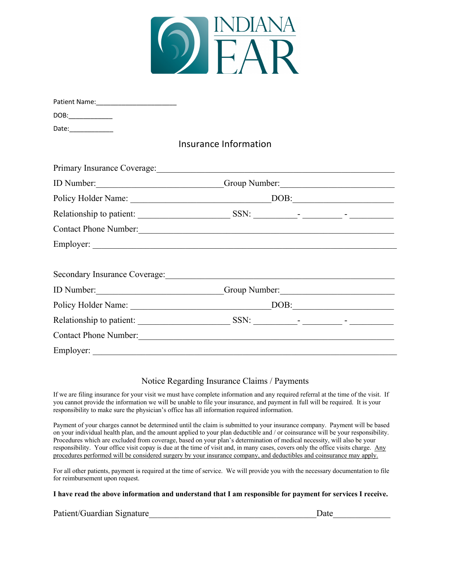

| DOB:_______________ |                                      |
|---------------------|--------------------------------------|
| Date:_____________  |                                      |
|                     | Insurance Information                |
|                     |                                      |
|                     | ID Number: Comp Number: Comp Number: |
|                     |                                      |
|                     |                                      |
|                     | Contact Phone Number: 1988           |
|                     |                                      |
|                     |                                      |
|                     | ID Number: Comp Number: Comp Number: |
|                     |                                      |
|                     |                                      |
|                     |                                      |
| Employer:           |                                      |

### Notice Regarding Insurance Claims / Payments

If we are filing insurance for your visit we must have complete information and any required referral at the time of the visit. If you cannot provide the information we will be unable to file your insurance, and payment in full will be required. It is your responsibility to make sure the physician's office has all information required information.

Payment of your charges cannot be determined until the claim is submitted to your insurance company. Payment will be based on your individual health plan, and the amount applied to your plan deductible and / or coinsurance will be your responsibility. Procedures which are excluded from coverage, based on your plan's determination of medical necessity, will also be your responsibility. Your office visit copay is due at the time of visit and, in many cases, covers only the office visits charge. Any procedures performed will be considered surgery by your insurance company, and deductibles and coinsurance may apply.

For all other patients, payment is required at the time of service. We will provide you with the necessary documentation to file for reimbursement upon request.

**I have read the above information and understand that I am responsible for payment for services I receive.** 

Patient/Guardian Signature\_\_\_\_\_\_\_\_\_\_\_\_\_\_\_\_\_\_\_\_\_\_\_\_\_\_\_\_\_\_\_\_\_\_\_\_\_\_Date\_\_\_\_\_\_\_\_\_\_\_\_\_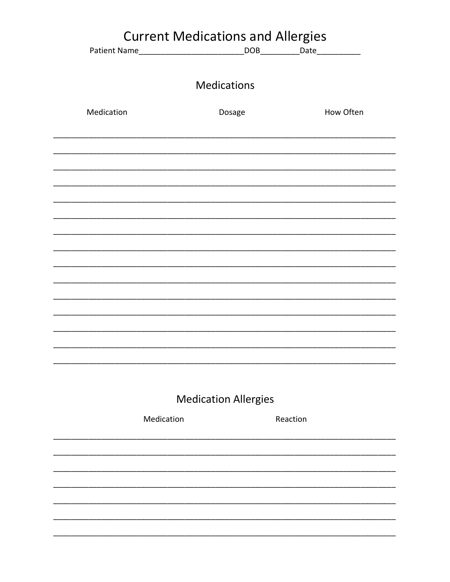|            | <b>Current Medications and Allergies</b> |                             |          |           |
|------------|------------------------------------------|-----------------------------|----------|-----------|
|            |                                          |                             |          |           |
|            |                                          |                             |          |           |
|            |                                          | <b>Medications</b>          |          |           |
| Medication |                                          | Dosage                      |          | How Often |
|            |                                          |                             |          |           |
|            |                                          |                             |          |           |
|            |                                          |                             |          |           |
|            |                                          |                             |          |           |
|            |                                          |                             |          |           |
|            |                                          |                             |          |           |
|            |                                          |                             |          |           |
|            |                                          |                             |          |           |
|            |                                          |                             |          |           |
|            |                                          |                             |          |           |
|            |                                          |                             |          |           |
|            |                                          |                             |          |           |
|            |                                          | <b>Medication Allergies</b> |          |           |
|            | Medication                               |                             | Reaction |           |
|            |                                          |                             |          |           |
|            |                                          |                             |          |           |
|            |                                          |                             |          |           |
|            |                                          |                             |          |           |
|            |                                          |                             |          |           |
|            |                                          |                             |          |           |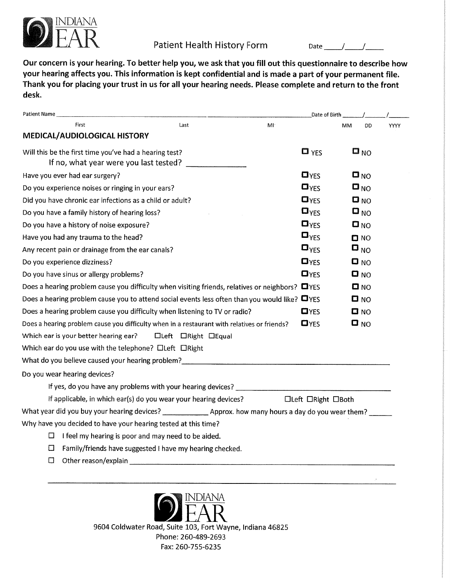

## Patient Health History Form

Date  $\frac{1}{\sqrt{1-\frac{1}{2}}}\frac{1}{\sqrt{1-\frac{1}{2}}\sqrt{1-\frac{1}{2}}\sqrt{1-\frac{1}{2}}\sqrt{1-\frac{1}{2}}\sqrt{1-\frac{1}{2}}\sqrt{1-\frac{1}{2}}\sqrt{1-\frac{1}{2}}\sqrt{1-\frac{1}{2}}\sqrt{1-\frac{1}{2}}\sqrt{1-\frac{1}{2}}\sqrt{1-\frac{1}{2}}\sqrt{1-\frac{1}{2}}\sqrt{1-\frac{1}{2}}\sqrt{1-\frac{1}{2}}\sqrt{1-\frac{1}{2}}\sqrt{1-\frac{1}{2}}\sqrt{1-\frac{1}{2}}\sqrt{1-\frac{$ 

Our concern is your hearing. To better help you, we ask that you fill out this questionnaire to describe how your hearing affects you. This information is kept confidential and is made a part of your permanent file. Thank you for placing your trust in us for all your hearing needs. Please complete and return to the front desk.

| Patient Name |                                                                                                       |                     |    | Date of Birth             |                         |                   |      |
|--------------|-------------------------------------------------------------------------------------------------------|---------------------|----|---------------------------|-------------------------|-------------------|------|
|              | <b>First</b>                                                                                          | Last                | MI |                           | <b>MM</b>               | DD                | YYYY |
|              | MEDICAL/AUDIOLOGICAL HISTORY                                                                          |                     |    |                           |                         |                   |      |
|              | Will this be the first time you've had a hearing test?<br>If no, what year were you last tested?      |                     |    | $\Box$ YES                |                         | $\blacksquare$ NO |      |
|              | Have you ever had ear surgery?                                                                        |                     |    | $D_{YES}$                 | $\Box_{\rm NO}$         |                   |      |
|              | Do you experience noises or ringing in your ears?                                                     |                     |    | $\mathbf{D}_{\text{YES}}$ | $\blacksquare_{\sf NO}$ |                   |      |
|              | Did you have chronic ear infections as a child or adult?                                              |                     |    | $D_{YES}$                 | $D_{NO}$                |                   |      |
|              | Do you have a family history of hearing loss?                                                         |                     |    | $\mathbf{a}_{\text{YES}}$ | $\blacksquare_{\sf NO}$ |                   |      |
|              | Do you have a history of noise exposure?                                                              |                     |    | $\mathbf{D}_{\text{YES}}$ | $\Box$ NO               |                   |      |
|              | Have you had any trauma to the head?                                                                  |                     |    | $\mathbf{a}_{\text{YES}}$ | DNO                     |                   |      |
|              | Any recent pain or drainage from the ear canals?                                                      |                     |    | $\mathbf{D}_{\text{YES}}$ | $D_{NO}$                |                   |      |
|              | Do you experience dizziness?                                                                          |                     |    | D <sub>YES</sub>          | $\blacksquare$ NO       |                   |      |
|              | Do you have sinus or allergy problems?                                                                |                     |    | $\n  D Y ES\n$            | $\Box$ NO               |                   |      |
|              | Does a hearing problem cause you difficulty when visiting friends, relatives or neighbors? $\Box$ YES |                     |    |                           | DNO                     |                   |      |
|              | Does a hearing problem cause you to attend social events less often than you would like? $\Box$ YES   |                     |    |                           | $\blacksquare$ NO       |                   |      |
|              | Does a hearing problem cause you difficulty when listening to TV or radio?                            |                     |    | $\blacksquare$            | $\Box$ NO               |                   |      |
|              | Does a hearing problem cause you difficulty when in a restaurant with relatives or friends?           |                     |    | $\Box$ YES                | $\blacksquare$ NO       |                   |      |
|              | Which ear is your better hearing ear?                                                                 | □Left □Right □Equal |    |                           |                         |                   |      |
|              | Which ear do you use with the telephone? Cleft CRight                                                 |                     |    |                           |                         |                   |      |
|              |                                                                                                       |                     |    |                           |                         |                   |      |
|              | Do you wear hearing devices?                                                                          |                     |    |                           |                         |                   |      |
|              | If yes, do you have any problems with your hearing devices?                                           |                     |    |                           |                         |                   |      |
|              | If applicable, in which ear(s) do you wear your hearing devices?                                      |                     |    | □Left □Right □Both        |                         |                   |      |
|              |                                                                                                       |                     |    |                           |                         |                   |      |
|              | Why have you decided to have your hearing tested at this time?                                        |                     |    |                           |                         |                   |      |
| □            | I feel my hearing is poor and may need to be aided.                                                   |                     |    |                           |                         |                   |      |
| □            | Family/friends have suggested I have my hearing checked.                                              |                     |    |                           |                         |                   |      |
| □            | Other reason/explain                                                                                  |                     |    |                           |                         |                   |      |
|              |                                                                                                       |                     |    |                           |                         |                   |      |

**JDIANA** 9604 Coldwater Road, Suite 103, Fort Wayne, Indiana 46825 Phone: 260-489-2693 Fax: 260-755-6235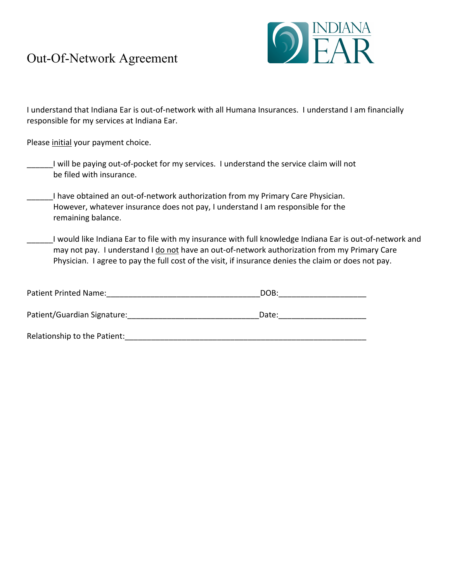# Out-Of-Network Agreement



I understand that Indiana Ear is out-of-network with all Humana Insurances. I understand I am financially responsible for my services at Indiana Ear.

Please initial your payment choice.

- I will be paying out-of-pocket for my services. I understand the service claim will not be filed with insurance.
- I have obtained an out-of-network authorization from my Primary Care Physician. However, whatever insurance does not pay, I understand I am responsible for the remaining balance.
- I would like Indiana Ear to file with my insurance with full knowledge Indiana Ear is out-of-network and may not pay. I understand I do not have an out-of-network authorization from my Primary Care Physician. I agree to pay the full cost of the visit, if insurance denies the claim or does not pay.

| Patient Printed Name:        | DOB:  |
|------------------------------|-------|
| Patient/Guardian Signature:  | Date: |
| Relationship to the Patient: |       |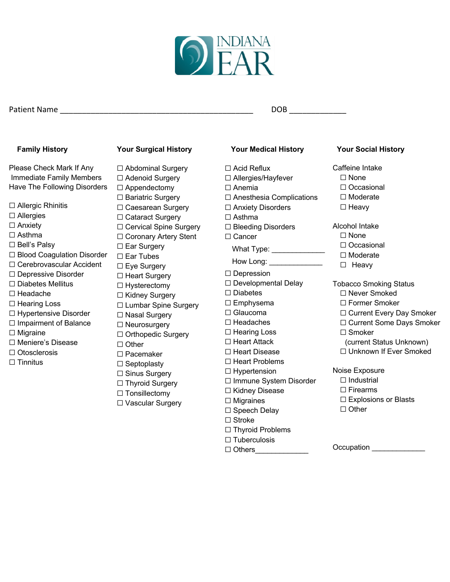

### Patient Name \_\_\_\_\_\_\_\_\_\_\_\_\_\_\_\_\_\_\_\_\_\_\_\_\_\_\_\_\_\_\_\_\_\_\_\_\_\_\_\_\_\_\_\_ DOB \_\_\_\_\_\_\_\_\_\_\_\_\_

### **Family History**

Please Check Mark If Any Immediate Family Members Have The Following Disorders

- ☐ Allergic Rhinitis
- ☐ Allergies
- □ Anxiety
- ☐ Asthma
- ☐ Bell's Palsy
- ☐ Blood Coagulation Disorder
- ☐ Cerebrovascular Accident
- ☐ Depressive Disorder
- ☐ Diabetes Mellitus
- ☐ Headache
- ☐ Hearing Loss
- ☐ Hypertensive Disorder
- □ Impairment of Balance
- ☐ Migraine
- ☐ Meniere's Disease
- ☐ Otosclerosis
- ☐ Tinnitus

### **Your Surgical History**

- ☐ Abdominal Surgery
- ☐ Adenoid Surgery
- ☐ Appendectomy
- □ Bariatric Surgery
- ☐ Caesarean Surgery
- ☐ Cataract Surgery
- □ Cervical Spine Surgery
- □ Coronary Artery Stent
- □ Ear Surgery
- ☐ Ear Tubes
- ☐ Eye Surgery □ Heart Surgery
- ☐ Hysterectomy
- □ Kidney Surgery
- ☐ Lumbar Spine Surgery
- ☐ Nasal Surgery
- ☐ Neurosurgery
- ☐ Orthopedic Surgery
- ☐ Other
- ☐ Pacemaker
- ☐ Septoplasty
- ☐ Sinus Surgery
- ☐ Thyroid Surgery
- ☐ Tonsillectomy
- 
- ☐ Vascular Surgery
- **Your Medical History**
- ☐ Acid Reflux
- ☐ Allergies/Hayfever
- ☐ Anemia
- ☐ Anesthesia Complications
- ☐ Anxiety Disorders
- □ Asthma
- ☐ Bleeding Disorders
- ☐ Cancer
	- What Type: \_\_\_\_\_\_\_\_\_\_\_\_\_\_\_
	- How Long: \_\_\_\_\_\_\_\_\_\_\_\_\_\_\_\_\_\_
- ☐ Depression
- ☐ Developmental Delay
- ☐ Diabetes
- ☐ Emphysema
- ☐ Glaucoma
- ☐ Headaches
- ☐ Hearing Loss
- ☐ Heart Attack
- ☐ Heart Disease
- ☐ Heart Problems
- ☐ Hypertension
- ☐ Immune System Disorder
- ☐ Kidney Disease
- ☐ Migraines
- ☐ Speech Delay
- ☐ Stroke
- ☐ Thyroid Problems
- ☐ Tuberculosis
- ☐ Others\_\_\_\_\_\_\_\_\_\_\_\_\_

## **Your Social History**

Caffeine Intake

- ☐ None
- ☐ Occasional
- ☐ Moderate
- ☐ Heavy

### Alcohol Intake

- ☐ None
- ☐ Occasional
- ☐ Moderate
- □ Heavy
- Tobacco Smoking Status
	- ☐ Never Smoked
	- ☐ Former Smoker
	- ☐ Current Every Day Smoker
	- ☐ Current Some Days Smoker
	- ☐ Smoker
	- (current Status Unknown)

☐ Explosions or Blasts

Occupation **with the control** 

- ☐ Unknown If Ever Smoked
- Noise Exposure
	- ☐ Industrial
	- ☐ Firearms

☐ Other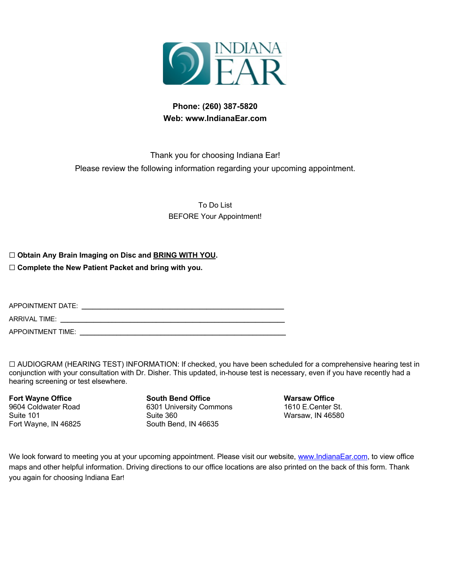

## **Phone: (260) 387-5820 Web: www.IndianaEar.com**

## Thank you for choosing Indiana Ear! Please review the following information regarding your upcoming appointment.

To Do List BEFORE Your Appointment!

☐ **Obtain Any Brain Imaging on Disc and BRING WITH YOU.**

☐ **Complete the New Patient Packet and bring with you.**

APPOINTMENT DATE: **\_\_\_\_\_\_\_\_\_\_\_\_\_\_\_\_\_\_\_\_\_\_\_\_\_\_\_\_\_\_\_\_\_\_\_\_\_\_\_\_\_\_\_\_\_\_\_\_\_\_\_\_\_\_\_**

ARRIVAL TIME: **\_\_\_\_\_\_\_\_\_\_\_\_\_\_\_\_\_\_\_\_\_\_\_\_\_\_\_\_\_\_\_\_\_\_\_\_\_\_\_\_\_\_\_\_\_\_\_\_\_\_\_\_\_\_\_\_\_\_\_\_\_**

APPOINTMENT TIME: **\_\_\_\_\_\_\_\_\_\_\_\_\_\_\_\_\_\_\_\_\_\_\_\_\_\_\_\_\_\_\_\_\_\_\_\_\_\_\_\_\_\_\_\_\_\_\_\_\_\_\_\_\_\_\_\_**

☐ AUDIOGRAM (HEARING TEST) INFORMATION: If checked, you have been scheduled for a comprehensive hearing test in conjunction with your consultation with Dr. Disher. This updated, in-house test is necessary, even if you have recently had a hearing screening or test elsewhere.

**Fort Wayne Office** 9604 Coldwater Road Suite 101 Fort Wayne, IN 46825

**South Bend Office** 6301 University Commons Suite 360 South Bend, IN 46635

**Warsaw Office** 1610 E.Center St. Warsaw, IN 46580

We look forward to meeting you at your upcoming appointment. Please visit our website, www.IndianaEar.com, to view office maps and other helpful information. Driving directions to our office locations are also printed on the back of this form. Thank you again for choosing Indiana Ear!